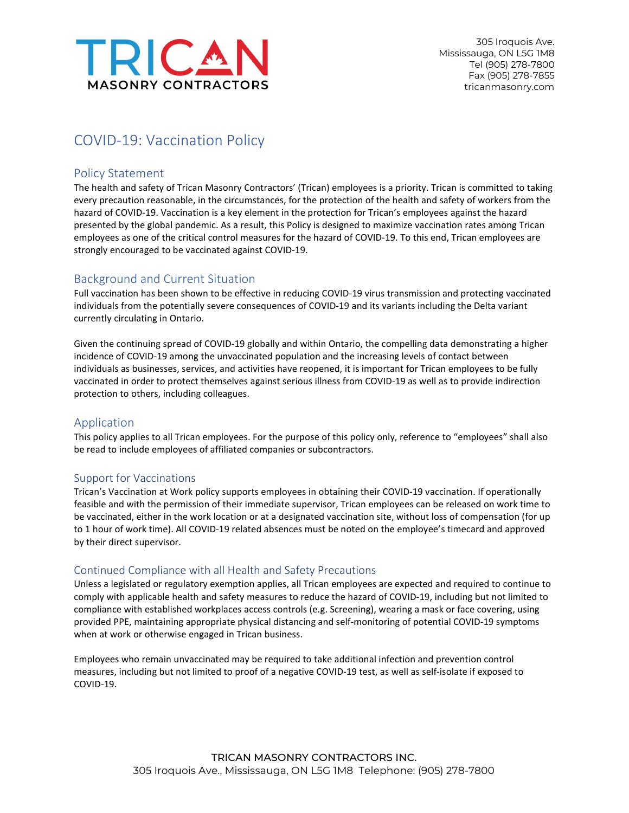

305 Iroquois Ave. Mississauga, ON L5G 1M8 Tel (905) 278-7800 Fax (905) 278-7855 tricanmasonry.com

# COVID-19: Vaccination Policy

# Policy Statement

The health and safety of Trican Masonry Contractors' (Trican) employees is a priority. Trican is committed to taking every precaution reasonable, in the circumstances, for the protection of the health and safety of workers from the hazard of COVID-19. Vaccination is a key element in the protection for Trican's employees against the hazard presented by the global pandemic. As a result, this Policy is designed to maximize vaccination rates among Trican employees as one of the critical control measures for the hazard of COVID-19. To this end, Trican employees are strongly encouraged to be vaccinated against COVID-19.

# Background and Current Situation

Full vaccination has been shown to be effective in reducing COVID-19 virus transmission and protecting vaccinated individuals from the potentially severe consequences of COVID-19 and its variants including the Delta variant currently circulating in Ontario.

Given the continuing spread of COVID-19 globally and within Ontario, the compelling data demonstrating a higher incidence of COVID-19 among the unvaccinated population and the increasing levels of contact between individuals as businesses, services, and activities have reopened, it is important for Trican employees to be fully vaccinated in order to protect themselves against serious illness from COVID-19 as well as to provide indirection protection to others, including colleagues.

# Application

This policy applies to all Trican employees. For the purpose of this policy only, reference to "employees" shall also be read to include employees of affiliated companies or subcontractors.

# Support for Vaccinations

Trican's Vaccination at Work policy supports employees in obtaining their COVID-19 vaccination. If operationally feasible and with the permission of their immediate supervisor, Trican employees can be released on work time to be vaccinated, either in the work location or at a designated vaccination site, without loss of compensation (for up to 1 hour of work time). All COVID-19 related absences must be noted on the employee's timecard and approved by their direct supervisor.

# Continued Compliance with all Health and Safety Precautions

Unless a legislated or regulatory exemption applies, all Trican employees are expected and required to continue to comply with applicable health and safety measures to reduce the hazard of COVID-19, including but not limited to compliance with established workplaces access controls (e.g. Screening), wearing a mask or face covering, using provided PPE, maintaining appropriate physical distancing and self-monitoring of potential COVID-19 symptoms when at work or otherwise engaged in Trican business.

Employees who remain unvaccinated may be required to take additional infection and prevention control measures, including but not limited to proof of a negative COVID-19 test, as well as self-isolate if exposed to COVID-19.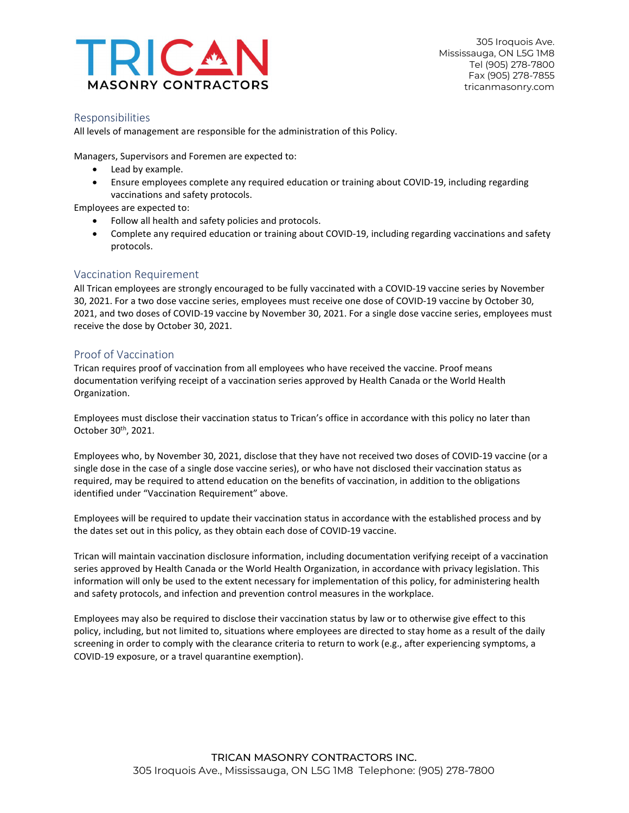

#### Responsibilities

All levels of management are responsible for the administration of this Policy.

Managers, Supervisors and Foremen are expected to:

- Lead by example.
- Ensure employees complete any required education or training about COVID-19, including regarding vaccinations and safety protocols.

Employees are expected to:

- Follow all health and safety policies and protocols.
- Complete any required education or training about COVID-19, including regarding vaccinations and safety protocols.

#### Vaccination Requirement

All Trican employees are strongly encouraged to be fully vaccinated with a COVID-19 vaccine series by November 30, 2021. For a two dose vaccine series, employees must receive one dose of COVID-19 vaccine by October 30, 2021, and two doses of COVID-19 vaccine by November 30, 2021. For a single dose vaccine series, employees must receive the dose by October 30, 2021.

#### Proof of Vaccination

Trican requires proof of vaccination from all employees who have received the vaccine. Proof means documentation verifying receipt of a vaccination series approved by Health Canada or the World Health Organization.

Employees must disclose their vaccination status to Trican's office in accordance with this policy no later than October 30<sup>th</sup>, 2021.

Employees who, by November 30, 2021, disclose that they have not received two doses of COVID-19 vaccine (or a single dose in the case of a single dose vaccine series), or who have not disclosed their vaccination status as required, may be required to attend education on the benefits of vaccination, in addition to the obligations identified under "Vaccination Requirement" above.

Employees will be required to update their vaccination status in accordance with the established process and by the dates set out in this policy, as they obtain each dose of COVID-19 vaccine.

Trican will maintain vaccination disclosure information, including documentation verifying receipt of a vaccination series approved by Health Canada or the World Health Organization, in accordance with privacy legislation. This information will only be used to the extent necessary for implementation of this policy, for administering health and safety protocols, and infection and prevention control measures in the workplace.

Employees may also be required to disclose their vaccination status by law or to otherwise give effect to this policy, including, but not limited to, situations where employees are directed to stay home as a result of the daily screening in order to comply with the clearance criteria to return to work (e.g., after experiencing symptoms, a COVID-19 exposure, or a travel quarantine exemption).